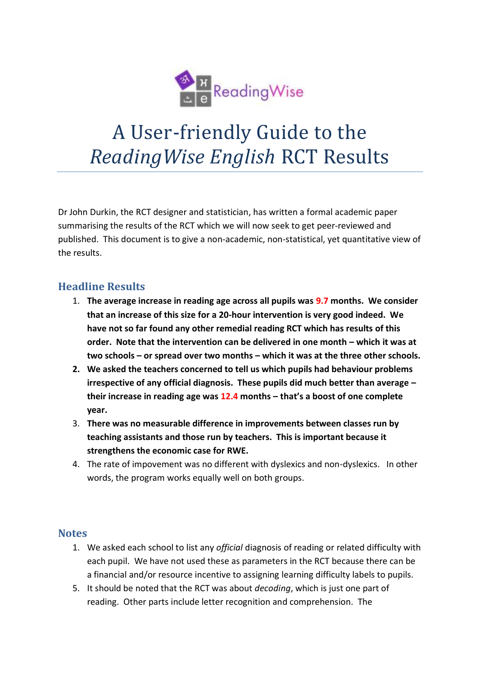

## A User-friendly Guide to the *ReadingWise English* RCT Results

Dr John Durkin, the RCT designer and statistician, has written a formal academic paper summarising the results of the RCT which we will now seek to get peer-reviewed and published. This document is to give a non-academic, non-statistical, yet quantitative view of the results.

## **Headline Results**

- 1. **The average increase in reading age across all pupils was 9.7 months. We consider that an increase of this size for a 20-hour intervention is very good indeed. We have not so far found any other remedial reading RCT which has results of this order. Note that the intervention can be delivered in one month – which it was at two schools – or spread over two months – which it was at the three other schools.**
- **2. We asked the teachers concerned to tell us which pupils had behaviour problems irrespective of any official diagnosis. These pupils did much better than average – their increase in reading age was 12.4 months – that's a boost of one complete year.**
- 3. **There was no measurable difference in improvements between classes run by teaching assistants and those run by teachers. This is important because it strengthens the economic case for RWE.**
- 4. The rate of impovement was no different with dyslexics and non-dyslexics. In other words, the program works equally well on both groups.

## **Notes**

- 1. We asked each school to list any *official* diagnosis of reading or related difficulty with each pupil. We have not used these as parameters in the RCT because there can be a financial and/or resource incentive to assigning learning difficulty labels to pupils.
- 5. It should be noted that the RCT was about *decoding*, which is just one part of reading. Other parts include letter recognition and comprehension. The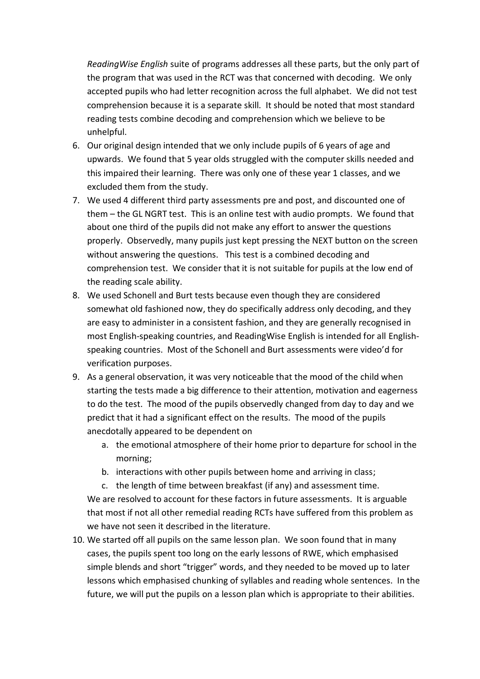*ReadingWise English* suite of programs addresses all these parts, but the only part of the program that was used in the RCT was that concerned with decoding. We only accepted pupils who had letter recognition across the full alphabet. We did not test comprehension because it is a separate skill. It should be noted that most standard reading tests combine decoding and comprehension which we believe to be unhelpful.

- 6. Our original design intended that we only include pupils of 6 years of age and upwards. We found that 5 year olds struggled with the computer skills needed and this impaired their learning. There was only one of these year 1 classes, and we excluded them from the study.
- 7. We used 4 different third party assessments pre and post, and discounted one of them – the GL NGRT test. This is an online test with audio prompts. We found that about one third of the pupils did not make any effort to answer the questions properly. Observedly, many pupils just kept pressing the NEXT button on the screen without answering the questions. This test is a combined decoding and comprehension test. We consider that it is not suitable for pupils at the low end of the reading scale ability.
- 8. We used Schonell and Burt tests because even though they are considered somewhat old fashioned now, they do specifically address only decoding, and they are easy to administer in a consistent fashion, and they are generally recognised in most English-speaking countries, and ReadingWise English is intended for all Englishspeaking countries. Most of the Schonell and Burt assessments were video'd for verification purposes.
- 9. As a general observation, it was very noticeable that the mood of the child when starting the tests made a big difference to their attention, motivation and eagerness to do the test. The mood of the pupils observedly changed from day to day and we predict that it had a significant effect on the results. The mood of the pupils anecdotally appeared to be dependent on
	- a. the emotional atmosphere of their home prior to departure for school in the morning;
	- b. interactions with other pupils between home and arriving in class;
	- c. the length of time between breakfast (if any) and assessment time. We are resolved to account for these factors in future assessments. It is arguable that most if not all other remedial reading RCTs have suffered from this problem as
	- we have not seen it described in the literature.
- 10. We started off all pupils on the same lesson plan. We soon found that in many cases, the pupils spent too long on the early lessons of RWE, which emphasised simple blends and short "trigger" words, and they needed to be moved up to later lessons which emphasised chunking of syllables and reading whole sentences. In the future, we will put the pupils on a lesson plan which is appropriate to their abilities.